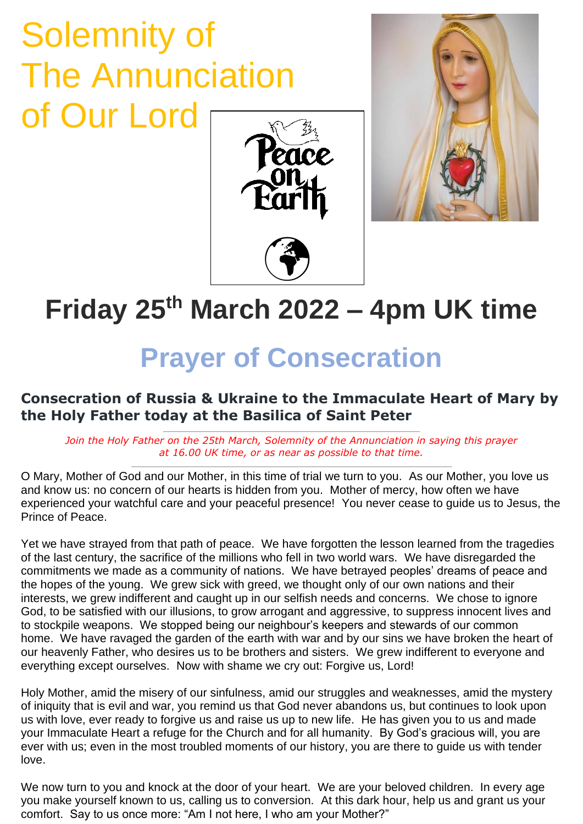## Solemnity of The Annunciation of Our Lord





## **Friday 25th March 2022 – 4pm UK time**

## **Prayer of Consecration**

## **Consecration of Russia & Ukraine to the Immaculate Heart of Mary by the Holy Father today at the Basilica of Saint Peter**

*Join the Holy Father on the 25th March, Solemnity of the Annunciation in saying this prayer at 16.00 UK time, or as near as possible to that time.*

O Mary, Mother of God and our Mother, in this time of trial we turn to you. As our Mother, you love us and know us: no concern of our hearts is hidden from you. Mother of mercy, how often we have experienced your watchful care and your peaceful presence! You never cease to guide us to Jesus, the Prince of Peace.

Yet we have strayed from that path of peace. We have forgotten the lesson learned from the tragedies of the last century, the sacrifice of the millions who fell in two world wars. We have disregarded the commitments we made as a community of nations. We have betrayed peoples' dreams of peace and the hopes of the young. We grew sick with greed, we thought only of our own nations and their interests, we grew indifferent and caught up in our selfish needs and concerns. We chose to ignore God, to be satisfied with our illusions, to grow arrogant and aggressive, to suppress innocent lives and to stockpile weapons. We stopped being our neighbour's keepers and stewards of our common home. We have ravaged the garden of the earth with war and by our sins we have broken the heart of our heavenly Father, who desires us to be brothers and sisters. We grew indifferent to everyone and everything except ourselves. Now with shame we cry out: Forgive us, Lord!

Holy Mother, amid the misery of our sinfulness, amid our struggles and weaknesses, amid the mystery of iniquity that is evil and war, you remind us that God never abandons us, but continues to look upon us with love, ever ready to forgive us and raise us up to new life. He has given you to us and made your Immaculate Heart a refuge for the Church and for all humanity. By God's gracious will, you are ever with us; even in the most troubled moments of our history, you are there to guide us with tender love.

We now turn to you and knock at the door of your heart. We are your beloved children. In every age you make yourself known to us, calling us to conversion. At this dark hour, help us and grant us your comfort. Say to us once more: "Am I not here, I who am your Mother?"